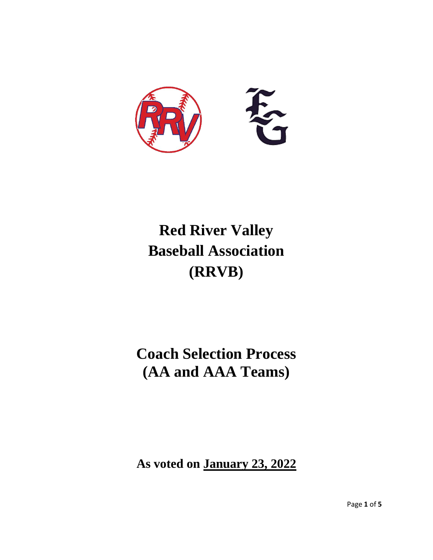

# **Red River Valley Baseball Association (RRVB)**

## **Coach Selection Process (AA and AAA Teams)**

**As voted on January 23, 2022**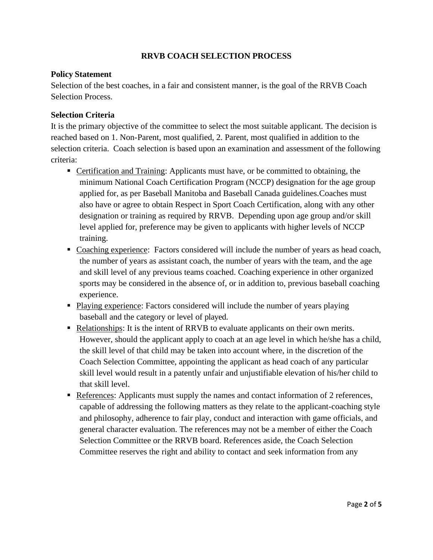#### **RRVB COACH SELECTION PROCESS**

#### **Policy Statement**

Selection of the best coaches, in a fair and consistent manner, is the goal of the RRVB Coach Selection Process.

#### **Selection Criteria**

It is the primary objective of the committee to select the most suitable applicant. The decision is reached based on 1. Non-Parent, most qualified, 2. Parent, most qualified in addition to the selection criteria. Coach selection is based upon an examination and assessment of the following criteria:

- **Certification and Training: Applicants must have, or be committed to obtaining, the** minimum National Coach Certification Program (NCCP) designation for the age group applied for, as per Baseball Manitoba and Baseball Canada guidelines.Coaches must also have or agree to obtain Respect in Sport Coach Certification, along with any other designation or training as required by RRVB. Depending upon age group and/or skill level applied for, preference may be given to applicants with higher levels of NCCP training.
- Coaching experience: Factors considered will include the number of years as head coach, the number of years as assistant coach, the number of years with the team, and the age and skill level of any previous teams coached. Coaching experience in other organized sports may be considered in the absence of, or in addition to, previous baseball coaching experience.
- Playing experience: Factors considered will include the number of years playing baseball and the category or level of played.
- Relationships: It is the intent of RRVB to evaluate applicants on their own merits. However, should the applicant apply to coach at an age level in which he/she has a child, the skill level of that child may be taken into account where, in the discretion of the Coach Selection Committee, appointing the applicant as head coach of any particular skill level would result in a patently unfair and unjustifiable elevation of his/her child to that skill level.
- **References:** Applicants must supply the names and contact information of 2 references, capable of addressing the following matters as they relate to the applicant-coaching style and philosophy, adherence to fair play, conduct and interaction with game officials, and general character evaluation. The references may not be a member of either the Coach Selection Committee or the RRVB board. References aside, the Coach Selection Committee reserves the right and ability to contact and seek information from any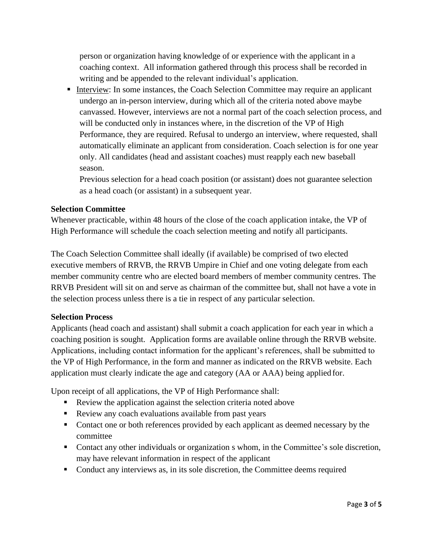person or organization having knowledge of or experience with the applicant in a coaching context. All information gathered through this process shall be recorded in writing and be appended to the relevant individual's application.

■ Interview: In some instances, the Coach Selection Committee may require an applicant undergo an in-person interview, during which all of the criteria noted above maybe canvassed. However, interviews are not a normal part of the coach selection process, and will be conducted only in instances where, in the discretion of the VP of High Performance, they are required. Refusal to undergo an interview, where requested, shall automatically eliminate an applicant from consideration. Coach selection is for one year only. All candidates (head and assistant coaches) must reapply each new baseball season.

Previous selection for a head coach position (or assistant) does not guarantee selection as a head coach (or assistant) in a subsequent year.

#### **Selection Committee**

Whenever practicable, within 48 hours of the close of the coach application intake, the VP of High Performance will schedule the coach selection meeting and notify all participants.

The Coach Selection Committee shall ideally (if available) be comprised of two elected executive members of RRVB, the RRVB Umpire in Chief and one voting delegate from each member community centre who are elected board members of member community centres. The RRVB President will sit on and serve as chairman of the committee but, shall not have a vote in the selection process unless there is a tie in respect of any particular selection.

### **Selection Process**

Applicants (head coach and assistant) shall submit a coach application for each year in which a coaching position is sought. Application forms are available online through the RRVB website. Applications, including contact information for the applicant's references, shall be submitted to the VP of High Performance, in the form and manner as indicated on the RRVB website. Each application must clearly indicate the age and category (AA or AAA) being applied for.

Upon receipt of all applications, the VP of High Performance shall:

- Review the application against the selection criteria noted above
- Review any coach evaluations available from past years
- Contact one or both references provided by each applicant as deemed necessary by the committee
- Contact any other individuals or organization s whom, in the Committee's sole discretion, may have relevant information in respect of the applicant
- Conduct any interviews as, in its sole discretion, the Committee deems required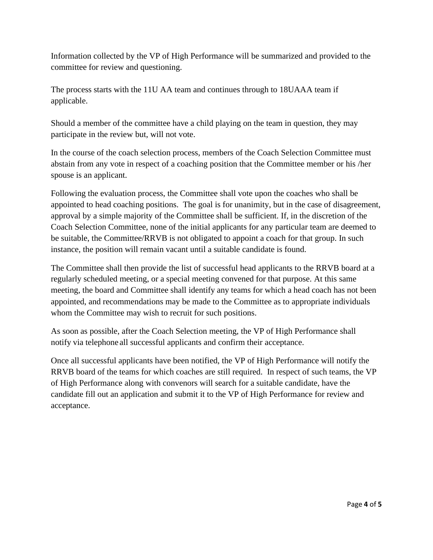Information collected by the VP of High Performance will be summarized and provided to the committee for review and questioning.

The process starts with the 11U AA team and continues through to 18UAAA team if applicable.

Should a member of the committee have a child playing on the team in question, they may participate in the review but, will not vote.

In the course of the coach selection process, members of the Coach Selection Committee must abstain from any vote in respect of a coaching position that the Committee member or his /her spouse is an applicant.

Following the evaluation process, the Committee shall vote upon the coaches who shall be appointed to head coaching positions. The goal is for unanimity, but in the case of disagreement, approval by a simple majority of the Committee shall be sufficient. If, in the discretion of the Coach Selection Committee, none of the initial applicants for any particular team are deemed to be suitable, the Committee/RRVB is not obligated to appoint a coach for that group. In such instance, the position will remain vacant until a suitable candidate is found.

The Committee shall then provide the list of successful head applicants to the RRVB board at a regularly scheduled meeting, or a special meeting convened for that purpose. At this same meeting, the board and Committee shall identify any teams for which a head coach has not been appointed, and recommendations may be made to the Committee as to appropriate individuals whom the Committee may wish to recruit for such positions.

As soon as possible, after the Coach Selection meeting, the VP of High Performance shall notify via telephone all successful applicants and confirm their acceptance.

Once all successful applicants have been notified, the VP of High Performance will notify the RRVB board of the teams for which coaches are still required. In respect of such teams, the VP of High Performance along with convenors will search for a suitable candidate, have the candidate fill out an application and submit it to the VP of High Performance for review and acceptance.